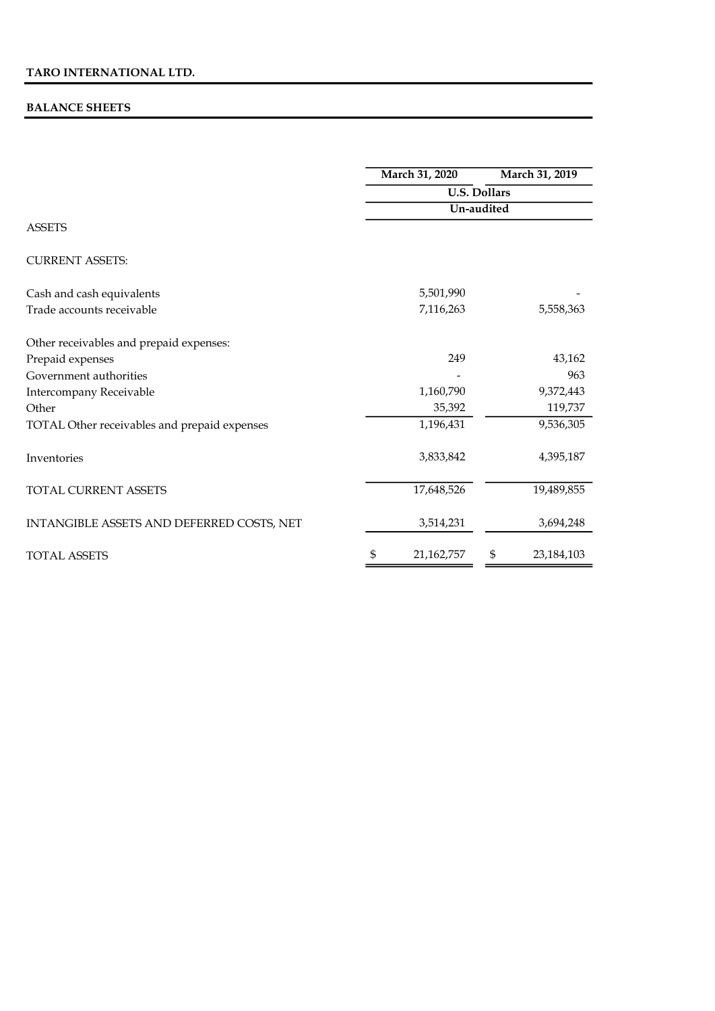### BALANCE SHEETS

|                                              |           | March 31, 2020                    |    | March 31, 2019 |  |
|----------------------------------------------|-----------|-----------------------------------|----|----------------|--|
|                                              |           | <b>U.S. Dollars</b><br>Un-audited |    |                |  |
|                                              |           |                                   |    |                |  |
| <b>ASSETS</b>                                |           |                                   |    |                |  |
| <b>CURRENT ASSETS:</b>                       |           |                                   |    |                |  |
| Cash and cash equivalents                    |           | 5,501,990                         |    |                |  |
| Trade accounts receivable                    |           | 7,116,263                         |    | 5,558,363      |  |
| Other receivables and prepaid expenses:      |           |                                   |    |                |  |
| Prepaid expenses                             |           | 249                               |    | 43,162         |  |
| Government authorities                       |           |                                   |    | 963            |  |
| Intercompany Receivable                      | 1,160,790 |                                   |    | 9,372,443      |  |
| Other                                        |           | 35,392                            |    | 119,737        |  |
| TOTAL Other receivables and prepaid expenses |           | 1,196,431                         |    | 9,536,305      |  |
| Inventories                                  |           | 3,833,842                         |    | 4,395,187      |  |
| <b>TOTAL CURRENT ASSETS</b>                  |           | 17,648,526                        |    | 19,489,855     |  |
| INTANGIBLE ASSETS AND DEFERRED COSTS, NET    |           | 3,514,231                         |    | 3,694,248      |  |
| <b>TOTAL ASSETS</b>                          | \$        | 21,162,757                        | \$ | 23, 184, 103   |  |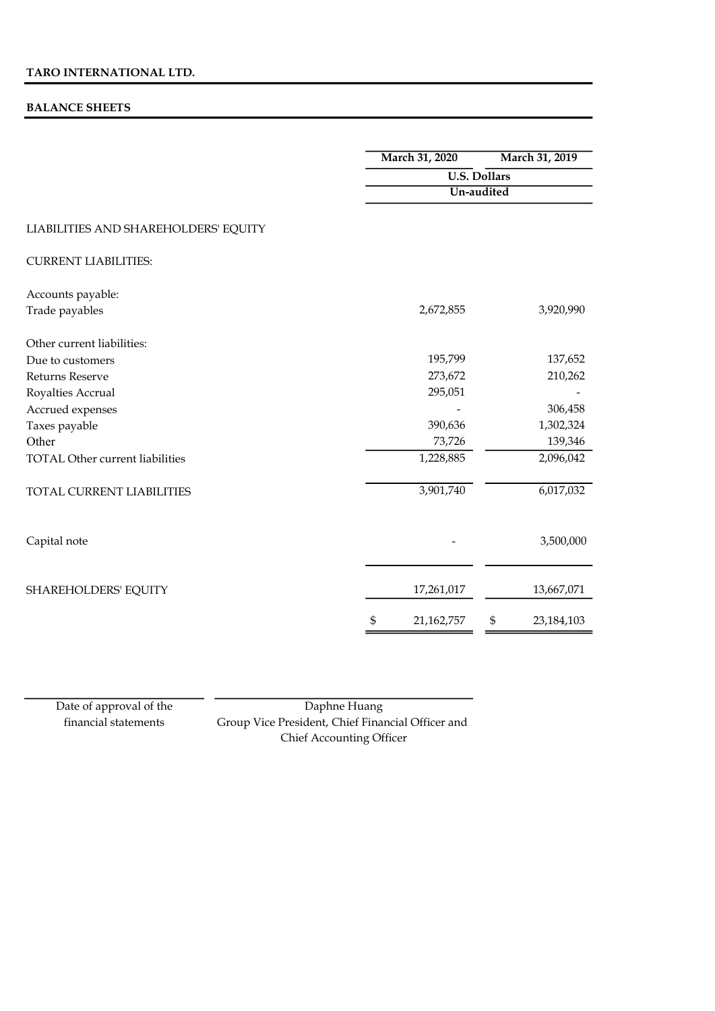#### BALANCE SHEETS

|                                        | March 31, 2020      |            | March 31, 2019 |  |
|----------------------------------------|---------------------|------------|----------------|--|
|                                        | <b>U.S. Dollars</b> |            |                |  |
|                                        |                     | Un-audited |                |  |
| LIABILITIES AND SHAREHOLDERS' EQUITY   |                     |            |                |  |
| <b>CURRENT LIABILITIES:</b>            |                     |            |                |  |
| Accounts payable:                      |                     |            |                |  |
| Trade payables                         | 2,672,855           |            | 3,920,990      |  |
| Other current liabilities:             |                     |            |                |  |
| Due to customers                       | 195,799             |            | 137,652        |  |
| Returns Reserve                        | 273,672             |            | 210,262        |  |
| Royalties Accrual                      | 295,051             |            |                |  |
| Accrued expenses                       |                     |            | 306,458        |  |
| Taxes payable                          | 390,636             |            | 1,302,324      |  |
| Other                                  | 73,726              |            | 139,346        |  |
| <b>TOTAL Other current liabilities</b> | 1,228,885           |            | 2,096,042      |  |
| TOTAL CURRENT LIABILITIES              | 3,901,740           |            | 6,017,032      |  |
| Capital note                           |                     |            | 3,500,000      |  |
| SHAREHOLDERS' EQUITY                   | 17,261,017          |            | 13,667,071     |  |
|                                        | \$<br>21,162,757    | \$         | 23, 184, 103   |  |

Date of approval of the financial statements

Daphne Huang Group Vice President, Chief Financial Officer and Chief Accounting Officer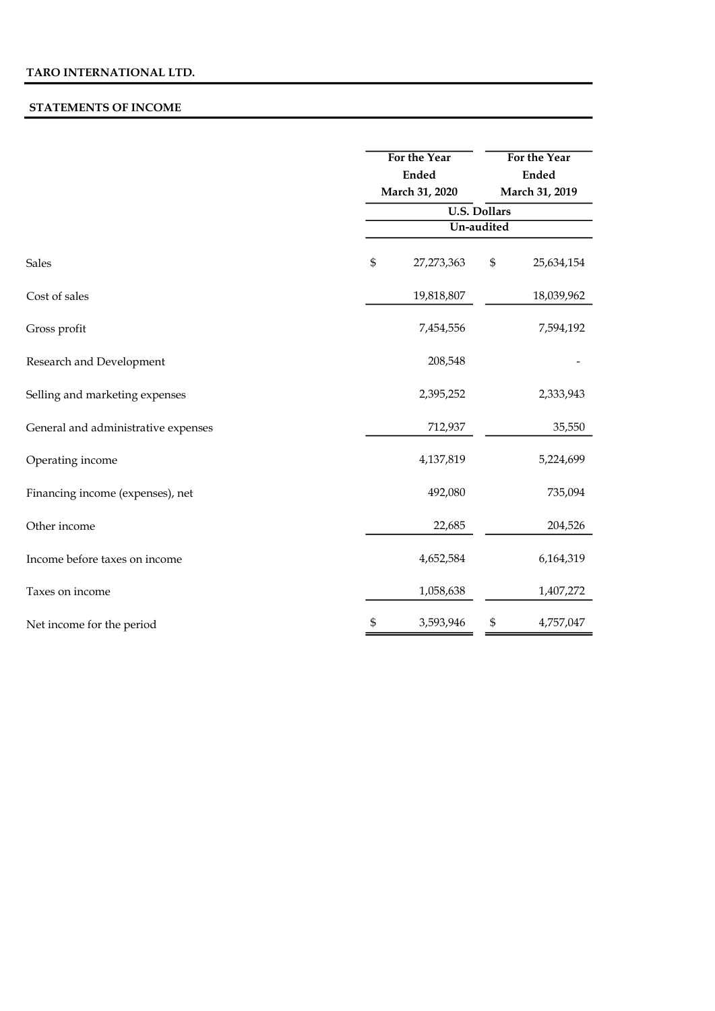#### STATEMENTS OF INCOME

|                                     |                                   | For the Year<br><b>Ended</b><br>March 31, 2020 |                                               | For the Year<br><b>Ended</b><br>March 31, 2019 |  |
|-------------------------------------|-----------------------------------|------------------------------------------------|-----------------------------------------------|------------------------------------------------|--|
|                                     |                                   |                                                |                                               |                                                |  |
|                                     |                                   |                                                |                                               |                                                |  |
|                                     | <b>U.S. Dollars</b><br>Un-audited |                                                |                                               |                                                |  |
|                                     |                                   |                                                |                                               |                                                |  |
| <b>Sales</b>                        | \$                                | 27,273,363                                     | $\, \, \raisebox{12pt}{$\scriptstyle \circ$}$ | 25,634,154                                     |  |
| Cost of sales                       |                                   | 19,818,807                                     |                                               | 18,039,962                                     |  |
| Gross profit                        |                                   | 7,454,556                                      |                                               | 7,594,192                                      |  |
| Research and Development            |                                   | 208,548                                        |                                               |                                                |  |
| Selling and marketing expenses      |                                   | 2,395,252                                      |                                               | 2,333,943                                      |  |
| General and administrative expenses |                                   | 712,937                                        |                                               | 35,550                                         |  |
| Operating income                    |                                   | 4,137,819                                      |                                               | 5,224,699                                      |  |
| Financing income (expenses), net    |                                   | 492,080                                        |                                               | 735,094                                        |  |
| Other income                        |                                   | 22,685                                         |                                               | 204,526                                        |  |
| Income before taxes on income       |                                   | 4,652,584                                      |                                               | 6,164,319                                      |  |
| Taxes on income                     |                                   | 1,058,638                                      |                                               | 1,407,272                                      |  |
| Net income for the period           | \$                                | 3,593,946                                      | \$                                            | 4,757,047                                      |  |